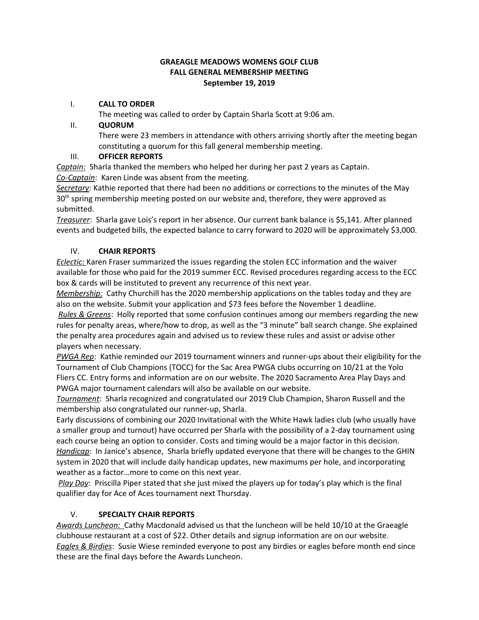#### **GRAEAGLE MEADOWS WOMENS GOLF CLUB FALL GENERAL MEMBERSHIP MEETING September 19, 2019**

#### I. **CALL TO ORDER**

The meeting was called to order by Captain Sharla Scott at 9:06 am.

#### II. **QUORUM**

There were 23 members in attendance with others arriving shortly after the meeting began constituting a quorum for this fall general membership meeting.

### III. **OFFICER REPORTS**

*Captain:* Sharla thanked the members who helped her during her past 2 years as Captain. *Co-Captain*: Karen Linde was absent from the meeting.

*Secretary*: Kathie reported that there had been no additions or corrections to the minutes of the May  $30<sup>th</sup>$  spring membership meeting posted on our website and, therefore, they were approved as submitted.

*Treasurer*: Sharla gave Lois's report in her absence. Our current bank balance is \$5,141. After planned events and budgeted bills, the expected balance to carry forward to 2020 will be approximately \$3,000.

### IV. **CHAIR REPORTS**

*Eclectic:* Karen Fraser summarized the issues regarding the stolen ECC information and the waiver available for those who paid for the 2019 summer ECC. Revised procedures regarding access to the ECC box & cards will be instituted to prevent any recurrence of this next year.

*Membership:* Cathy Churchill has the 2020 membership applications on the tables today and they are also on the website. Submit your application and \$73 fees before the November 1 deadline.

*Rules & Greens*: Holly reported that some confusion continues among our members regarding the new rules for penalty areas, where/how to drop, as well as the "3 minute" ball search change. She explained the penalty area procedures again and advised us to review these rules and assist or advise other players when necessary.

*PWGA Rep*: Kathie reminded our 2019 tournament winners and runner-ups about their eligibility for the Tournament of Club Champions (TOCC) for the Sac Area PWGA clubs occurring on 10/21 at the Yolo Fliers CC. Entry forms and information are on our website. The 2020 Sacramento Area Play Days and PWGA major tournament calendars will also be available on our website.

*Tournament*: Sharla recognized and congratulated our 2019 Club Champion, Sharon Russell and the membership also congratulated our runner-up, Sharla.

Early discussions of combining our 2020 Invitational with the White Hawk ladies club (who usually have a smaller group and turnout) have occurred per Sharla with the possibility of a 2-day tournament using each course being an option to consider. Costs and timing would be a major factor in this decision. *Handicap*: In Janice's absence, Sharla briefly updated everyone that there will be changes to the GHIN system in 2020 that will include daily handicap updates, new maximums per hole, and incorporating weather as a factor…more to come on this next year.

*Play Day*: Priscilla Piper stated that she just mixed the players up for today's play which is the final qualifier day for Ace of Aces tournament next Thursday.

### V. **SPECIALTY CHAIR REPORTS**

*Awards Luncheon:* Cathy Macdonald advised us that the luncheon will be held 10/10 at the Graeagle clubhouse restaurant at a cost of \$22. Other details and signup information are on our website. *Eagles & Birdies*: Susie Wiese reminded everyone to post any birdies or eagles before month end since these are the final days before the Awards Luncheon.